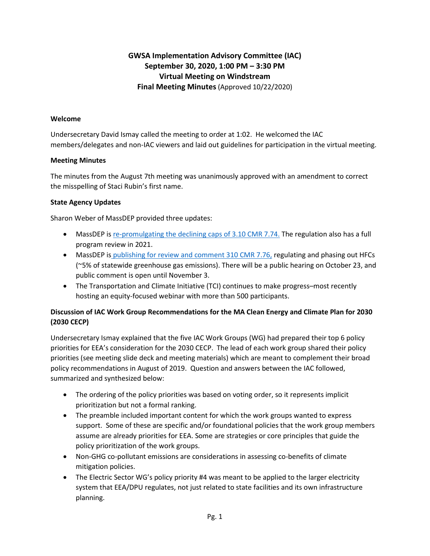# **GWSA Implementation Advisory Committee (IAC) September 30, 2020, 1:00 PM – 3:30 PM Virtual Meeting on Windstream Final Meeting Minutes** (Approved 10/22/2020)

#### **Welcome**

Undersecretary David Ismay called the meeting to order at 1:02. He welcomed the IAC members/delegates and non-IAC viewers and laid out guidelines for participation in the virtual meeting.

#### **Meeting Minutes**

The minutes from the August 7th meeting was unanimously approved with an amendment to correct the misspelling of Staci Rubin's first name.

## **State Agency Updates**

Sharon Weber of MassDEP provided three updates:

- MassDEP is re-promulgating [the declining caps of 3.10 CMR 7.74.](https://www.mass.gov/doc/310-cmr-774-proposed-re-promulgation-of-requirements/download) The regulation also has a full program review in 2021.
- MassDEP is publishing [for review and comment 310 CMR 7.76,](https://www.mass.gov/doc/310-cmr-776-proposed-prohibitions-on-certain-hydrofluorocarbons/download) regulating and phasing out HFCs (~5% of statewide greenhouse gas emissions). There will be a public hearing on October 23, and public comment is open until November 3.
- The Transportation and Climate Initiative (TCI) continues to make progress–most recently hosting an equity-focused webinar with more than 500 participants.

## **Discussion of IAC Work Group Recommendations for the MA Clean Energy and Climate Plan for 2030 (2030 CECP)**

Undersecretary Ismay explained that the five IAC Work Groups (WG) had prepared their top 6 policy priorities for EEA's consideration for the 2030 CECP. The lead of each work group shared their policy priorities (see meeting slide deck and meeting materials) which are meant to complement their broad policy recommendations in August of 2019. Question and answers between the IAC followed, summarized and synthesized below:

- The ordering of the policy priorities was based on voting order, so it represents implicit prioritization but not a formal ranking.
- The preamble included important content for which the work groups wanted to express support. Some of these are specific and/or foundational policies that the work group members assume are already priorities for EEA. Some are strategies or core principles that guide the policy prioritization of the work groups.
- Non-GHG co-pollutant emissions are considerations in assessing co-benefits of climate mitigation policies.
- The Electric Sector WG's policy priority #4 was meant to be applied to the larger electricity system that EEA/DPU regulates, not just related to state facilities and its own infrastructure planning.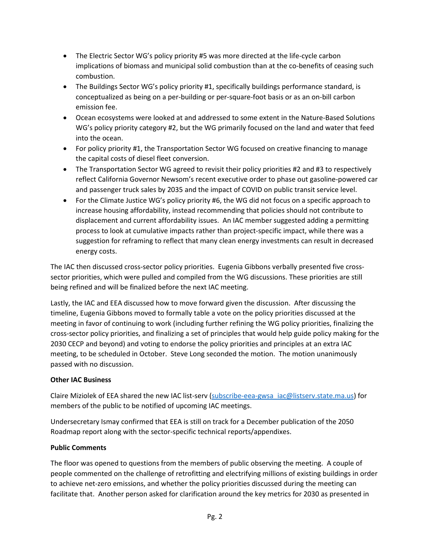- The Electric Sector WG's policy priority #5 was more directed at the life-cycle carbon implications of biomass and municipal solid combustion than at the co-benefits of ceasing such combustion.
- The Buildings Sector WG's policy priority #1, specifically buildings performance standard, is conceptualized as being on a per-building or per-square-foot basis or as an on-bill carbon emission fee.
- Ocean ecosystems were looked at and addressed to some extent in the Nature-Based Solutions WG's policy priority category #2, but the WG primarily focused on the land and water that feed into the ocean.
- For policy priority #1, the Transportation Sector WG focused on creative financing to manage the capital costs of diesel fleet conversion.
- The Transportation Sector WG agreed to revisit their policy priorities #2 and #3 to respectively reflect California Governor Newsom's recent executive order to phase out gasoline-powered car and passenger truck sales by 2035 and the impact of COVID on public transit service level.
- For the Climate Justice WG's policy priority #6, the WG did not focus on a specific approach to increase housing affordability, instead recommending that policies should not contribute to displacement and current affordability issues. An IAC member suggested adding a permitting process to look at cumulative impacts rather than project-specific impact, while there was a suggestion for reframing to reflect that many clean energy investments can result in decreased energy costs.

The IAC then discussed cross-sector policy priorities. Eugenia Gibbons verbally presented five crosssector priorities, which were pulled and compiled from the WG discussions. These priorities are still being refined and will be finalized before the next IAC meeting.

Lastly, the IAC and EEA discussed how to move forward given the discussion. After discussing the timeline, Eugenia Gibbons moved to formally table a vote on the policy priorities discussed at the meeting in favor of continuing to work (including further refining the WG policy priorities, finalizing the cross-sector policy priorities, and finalizing a set of principles that would help guide policy making for the 2030 CECP and beyond) and voting to endorse the policy priorities and principles at an extra IAC meeting, to be scheduled in October. Steve Long seconded the motion. The motion unanimously passed with no discussion.

## **Other IAC Business**

Claire Miziolek of EEA shared the new IAC list-serv [\(subscribe-eea-gwsa\\_iac@listserv.state.ma.us\)](mailto:subscribe-eea-gwsa_iac@listserv.state.ma.us) for members of the public to be notified of upcoming IAC meetings.

Undersecretary Ismay confirmed that EEA is still on track for a December publication of the 2050 Roadmap report along with the sector-specific technical reports/appendixes.

## **Public Comments**

The floor was opened to questions from the members of public observing the meeting. A couple of people commented on the challenge of retrofitting and electrifying millions of existing buildings in order to achieve net-zero emissions, and whether the policy priorities discussed during the meeting can facilitate that. Another person asked for clarification around the key metrics for 2030 as presented in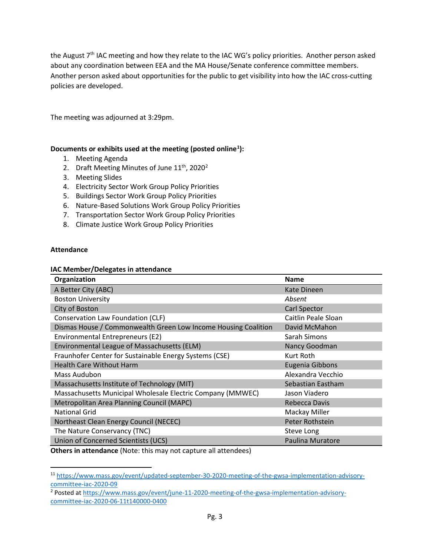the August 7<sup>th</sup> IAC meeting and how they relate to the IAC WG's policy priorities. Another person asked about any coordination between EEA and the MA House/Senate conference committee members. Another person asked about opportunities for the public to get visibility into how the IAC cross-cutting policies are developed.

The meeting was adjourned at 3:29pm.

#### **Documents or exhibits used at the meeting (posted online[1](#page-2-0) ):**

- 1. Meeting Agenda
- [2](#page-2-1). Draft Meeting Minutes of June  $11^{th}$ , 2020<sup>2</sup>
- 3. Meeting Slides
- 4. Electricity Sector Work Group Policy Priorities
- 5. Buildings Sector Work Group Policy Priorities
- 6. Nature-Based Solutions Work Group Policy Priorities
- 7. Transportation Sector Work Group Policy Priorities
- 8. Climate Justice Work Group Policy Priorities

#### **Attendance**

#### **IAC Member/Delegates in attendance**

| Organization                                                   | Name                |  |
|----------------------------------------------------------------|---------------------|--|
| A Better City (ABC)                                            | Kate Dineen         |  |
| <b>Boston University</b>                                       | Absent              |  |
| City of Boston                                                 | <b>Carl Spector</b> |  |
| Conservation Law Foundation (CLF)                              | Caitlin Peale Sloan |  |
| Dismas House / Commonwealth Green Low Income Housing Coalition | David McMahon       |  |
| Environmental Entrepreneurs (E2)<br>Sarah Simons               |                     |  |
| Environmental League of Massachusetts (ELM)                    | Nancy Goodman       |  |
| Fraunhofer Center for Sustainable Energy Systems (CSE)         | Kurt Roth           |  |
| <b>Health Care Without Harm</b>                                | Eugenia Gibbons     |  |
| Mass Audubon                                                   | Alexandra Vecchio   |  |
| Massachusetts Institute of Technology (MIT)                    | Sebastian Eastham   |  |
| Massachusetts Municipal Wholesale Electric Company (MMWEC)     | Jason Viadero       |  |
| Metropolitan Area Planning Council (MAPC)                      | Rebecca Davis       |  |
| <b>National Grid</b>                                           | Mackay Miller       |  |
| Northeast Clean Energy Council (NECEC)                         | Peter Rothstein     |  |
| The Nature Conservancy (TNC)                                   | Steve Long          |  |
| Union of Concerned Scientists (UCS)                            | Paulina Muratore    |  |

**Others in attendance** (Note: this may not capture all attendees)

<span id="page-2-0"></span><sup>11</sup> [https://www.mass.gov/event/updated-september-30-2020-meeting-of-the-gwsa-implementation-advisory](https://www.mass.gov/event/updated-september-30-2020-meeting-of-the-gwsa-implementation-advisory-committee-iac-2020-09)[committee-iac-2020-09](https://www.mass.gov/event/updated-september-30-2020-meeting-of-the-gwsa-implementation-advisory-committee-iac-2020-09)

<span id="page-2-1"></span><sup>&</sup>lt;sup>2</sup> Posted at [https://www.mass.gov/event/june-11-2020-meeting-of-the-gwsa-implementation-advisory](https://www.mass.gov/event/june-11-2020-meeting-of-the-gwsa-implementation-advisory-committee-iac-2020-06-11t140000-0400)[committee-iac-2020-06-11t140000-0400](https://www.mass.gov/event/june-11-2020-meeting-of-the-gwsa-implementation-advisory-committee-iac-2020-06-11t140000-0400)